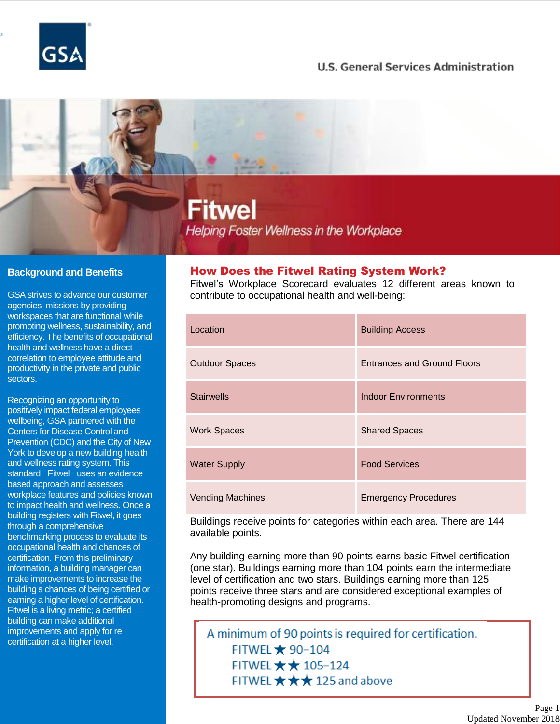

®

## **U.S. General Services Administration**

# Fitwel **Helping Foster Wellness in the Workplace**

#### **Background and Benefits**

' agencies missions by providing GSA strives to advance our customer workspaces that are functional while promoting wellness, sustainability, and efficiency. The benefits of occupational health and wellness have a direct correlation to employee attitude and productivity in the private and public sectors.

' positively impact federal employees standard Fitwel uses an evidence ' building s chances of being certified or - improvements and apply for re certification at a higher level. Recognizing an opportunity to wellbeing, GSA partnered with the Centers for Disease Control and Prevention (CDC) and the City of New York to develop a new building health and wellness rating system. This based approach and assesses workplace features and policies known to impact health and wellness. Once a building registers with Fitwel, it goes through a comprehensive benchmarking process to evaluate its occupational health and chances of certification. From this preliminary information, a building manager can make improvements to increase the earning a higher level of certification. Fitwel is a living metric; a certified building can make additional

### How Does the Fitwel Rating System Work?

Fitwel's Workplace Scorecard evaluates 12 different areas known to contribute to occupational health and well-being:

| Location                | <b>Building Access</b>             |
|-------------------------|------------------------------------|
| <b>Outdoor Spaces</b>   | <b>Entrances and Ground Floors</b> |
| <b>Stairwells</b>       | <b>Indoor Environments</b>         |
| <b>Work Spaces</b>      | <b>Shared Spaces</b>               |
| <b>Water Supply</b>     | <b>Food Services</b>               |
| <b>Vending Machines</b> | <b>Emergency Procedures</b>        |

Buildings receive points for categories within each area. There are 144 available points.

Any building earning more than 90 points earns basic Fitwel certification (one star). Buildings earning more than 104 points earn the intermediate level of certification and two stars. Buildings earning more than 125 points receive three stars and are considered exceptional examples of health-promoting designs and programs.

A minimum of 90 points is required for certification. FITWEL **★ 90-104** FITWEL  $\star \star 105 - 124$ FITWEL  $\star \star \star$  125 and above